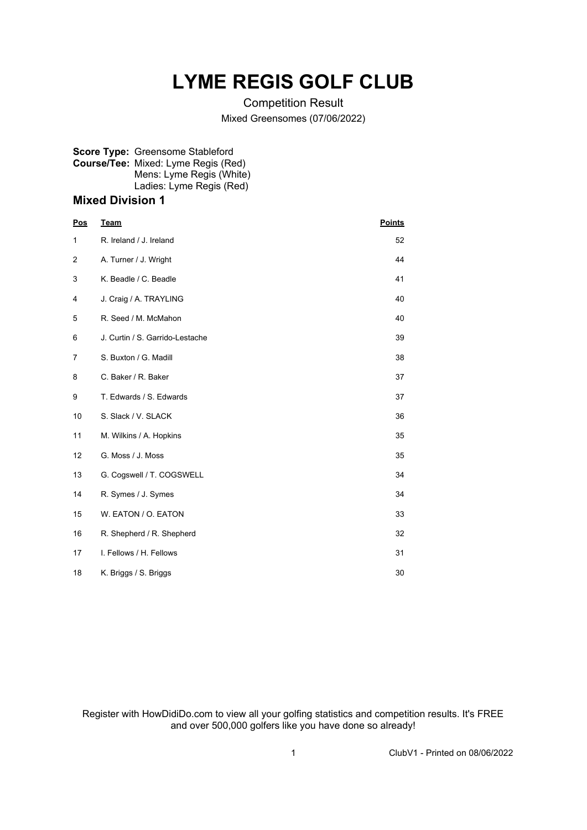## **LYME REGIS GOLF CLUB**

Competition Result

Mixed Greensomes (07/06/2022)

## **Score Type:** Greensome Stableford **Course/Tee:** Mixed: Lyme Regis (Red) Mens: Lyme Regis (White) Ladies: Lyme Regis (Red)

## **Mixed Division 1**

| <b>Pos</b> | Team                            | <b>Points</b> |
|------------|---------------------------------|---------------|
| 1          | R. Ireland / J. Ireland         | 52            |
| 2          | A. Turner / J. Wright           | 44            |
| 3          | K. Beadle / C. Beadle           | 41            |
| 4          | J. Craig / A. TRAYLING          | 40            |
| 5          | R. Seed / M. McMahon            | 40            |
| 6          | J. Curtin / S. Garrido-Lestache | 39            |
| 7          | S. Buxton / G. Madill           | 38            |
| 8          | C. Baker / R. Baker             | 37            |
| 9          | T. Edwards / S. Edwards         | 37            |
| 10         | S. Slack / V. SLACK             | 36            |
| 11         | M. Wilkins / A. Hopkins         | 35            |
| 12         | G. Moss / J. Moss               | 35            |
| 13         | G. Cogswell / T. COGSWELL       | 34            |
| 14         | R. Symes / J. Symes             | 34            |
| 15         | W. EATON / O. EATON             | 33            |
| 16         | R. Shepherd / R. Shepherd       | 32            |
| 17         | I. Fellows / H. Fellows         | 31            |
| 18         | K. Briggs / S. Briggs           | 30            |

Register with HowDidiDo.com to view all your golfing statistics and competition results. It's FREE and over 500,000 golfers like you have done so already!